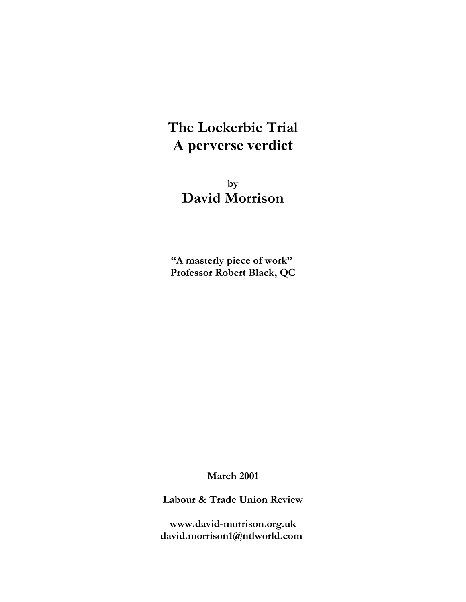# **The Lockerbie Trial A perverse verdict**

**by David Morrison**

**"A masterly piece of work" Professor Robert Black, QC**

**March 2001**

**Labour & Trade Union Review**

**www.david-morrison.org.uk david.morrison1@ntlworld.com**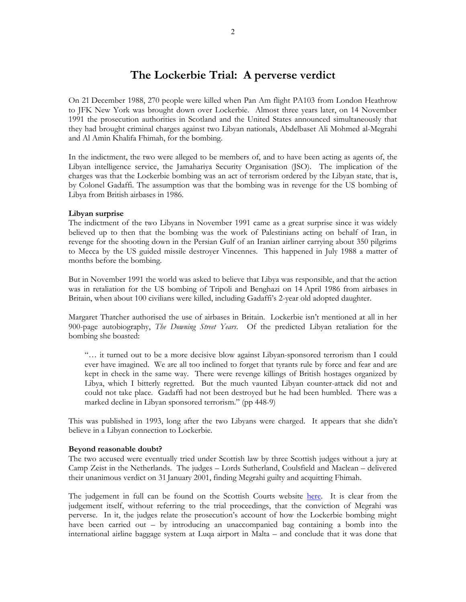# **The Lockerbie Trial: A perverse verdict**

On 21 December 1988, 270 people were killed when Pan Am flight PA103 from London Heathrow to JFK New York was brought down over Lockerbie. Almost three years later, on 14 November 1991 the prosecution authorities in Scotland and the United States announced simultaneously that they had brought criminal charges against two Libyan nationals, Abdelbaset Ali Mohmed al-Megrahi and Al Amin Khalifa Fhimah, for the bombing.

In the indictment, the two were alleged to be members of, and to have been acting as agents of, the Libyan intelligence service, the Jamahariya Security Organisation (JSO). The implication of the charges was that the Lockerbie bombing was an act of terrorism ordered by the Libyan state, that is, by Colonel Gadaffi. The assumption was that the bombing was in revenge for the US bombing of Libya from British airbases in 1986.

## **Libyan surprise**

The indictment of the two Libyans in November 1991 came as a great surprise since it was widely believed up to then that the bombing was the work of Palestinians acting on behalf of Iran, in revenge for the shooting down in the Persian Gulf of an Iranian airliner carrying about 350 pilgrims to Mecca by the US guided missile destroyer Vincennes. This happened in July 1988 a matter of months before the bombing.

But in November 1991 the world was asked to believe that Libya was responsible, and that the action was in retaliation for the US bombing of Tripoli and Benghazi on 14 April 1986 from airbases in Britain, when about 100 civilians were killed, including Gadaffi's 2-year old adopted daughter.

Margaret Thatcher authorised the use of airbases in Britain. Lockerbie isn't mentioned at all in her 900-page autobiography, *The Downing Street Years*. Of the predicted Libyan retaliation for the bombing she boasted:

"… it turned out to be a more decisive blow against Libyan-sponsored terrorism than I could ever have imagined. We are all too inclined to forget that tyrants rule by force and fear and are kept in check in the same way. There were revenge killings of British hostages organized by Libya, which I bitterly regretted. But the much vaunted Libyan counter-attack did not and could not take place. Gadaffi had not been destroyed but he had been humbled. There was a marked decline in Libyan sponsored terrorism." (pp 448-9)

This was published in 1993, long after the two Libyans were charged. It appears that she didn't believe in a Libyan connection to Lockerbie.

#### **Beyond reasonable doubt?**

The two accused were eventually tried under Scottish law by three Scottish judges without a jury at Camp Zeist in the Netherlands. The judges – Lords Sutherland, Coulsfield and Maclean – delivered their unanimous verdict on 31 January 2001, finding Megrahi guilty and acquitting Fhimah.

The judgement in full can be found on the Scottish Courts website [here.](http://www.scotcourts.gov.uk/library/lockerbie/docs/lockerbiejudgement.pdf) It is clear from the judgement itself, without referring to the trial proceedings, that the conviction of Megrahi was perverse. In it, the judges relate the prosecution's account of how the Lockerbie bombing might have been carried out – by introducing an unaccompanied bag containing a bomb into the international airline baggage system at Luqa airport in Malta – and conclude that it was done that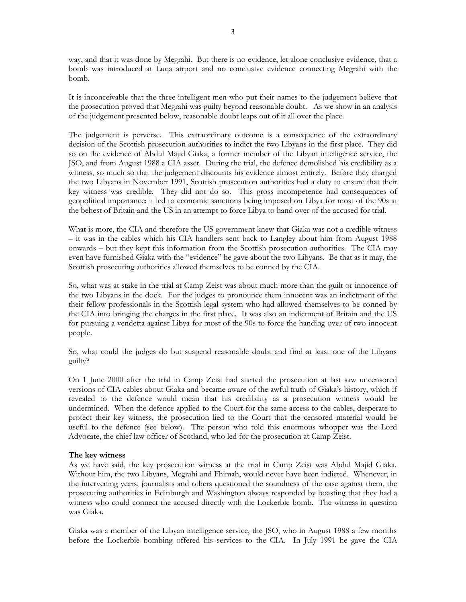way, and that it was done by Megrahi. But there is no evidence, let alone conclusive evidence, that a bomb was introduced at Luqa airport and no conclusive evidence connecting Megrahi with the bomb.

It is inconceivable that the three intelligent men who put their names to the judgement believe that the prosecution proved that Megrahi was guilty beyond reasonable doubt. As we show in an analysis of the judgement presented below, reasonable doubt leaps out of it all over the place.

The judgement is perverse. This extraordinary outcome is a consequence of the extraordinary decision of the Scottish prosecution authorities to indict the two Libyans in the first place. They did so on the evidence of Abdul Majid Giaka, a former member of the Libyan intelligence service, the JSO, and from August 1988 a CIA asset. During the trial, the defence demolished his credibility as a witness, so much so that the judgement discounts his evidence almost entirely. Before they charged the two Libyans in November 1991, Scottish prosecution authorities had a duty to ensure that their key witness was credible. They did not do so. This gross incompetence had consequences of geopolitical importance: it led to economic sanctions being imposed on Libya for most of the 90s at the behest of Britain and the US in an attempt to force Libya to hand over of the accused for trial.

What is more, the CIA and therefore the US government knew that Giaka was not a credible witness – it was in the cables which his CIA handlers sent back to Langley about him from August 1988 onwards – but they kept this information from the Scottish prosecution authorities. The CIA may even have furnished Giaka with the "evidence" he gave about the two Libyans. Be that as it may, the Scottish prosecuting authorities allowed themselves to be conned by the CIA.

So, what was at stake in the trial at Camp Zeist was about much more than the guilt or innocence of the two Libyans in the dock. For the judges to pronounce them innocent was an indictment of the their fellow professionals in the Scottish legal system who had allowed themselves to be conned by the CIA into bringing the charges in the first place. It was also an indictment of Britain and the US for pursuing a vendetta against Libya for most of the 90s to force the handing over of two innocent people.

So, what could the judges do but suspend reasonable doubt and find at least one of the Libyans guilty?

On 1 June 2000 after the trial in Camp Zeist had started the prosecution at last saw uncensored versions of CIA cables about Giaka and became aware of the awful truth of Giaka's history, which if revealed to the defence would mean that his credibility as a prosecution witness would be undermined. When the defence applied to the Court for the same access to the cables, desperate to protect their key witness, the prosecution lied to the Court that the censored material would be useful to the defence (see below). The person who told this enormous whopper was the Lord Advocate, the chief law officer of Scotland, who led for the prosecution at Camp Zeist.

# **The key witness**

As we have said, the key prosecution witness at the trial in Camp Zeist was Abdul Majid Giaka. Without him, the two Libyans, Megrahi and Fhimah, would never have been indicted. Whenever, in the intervening years, journalists and others questioned the soundness of the case against them, the prosecuting authorities in Edinburgh and Washington always responded by boasting that they had a witness who could connect the accused directly with the Lockerbie bomb. The witness in question was Giaka.

Giaka was a member of the Libyan intelligence service, the JSO, who in August 1988 a few months before the Lockerbie bombing offered his services to the CIA. In July 1991 he gave the CIA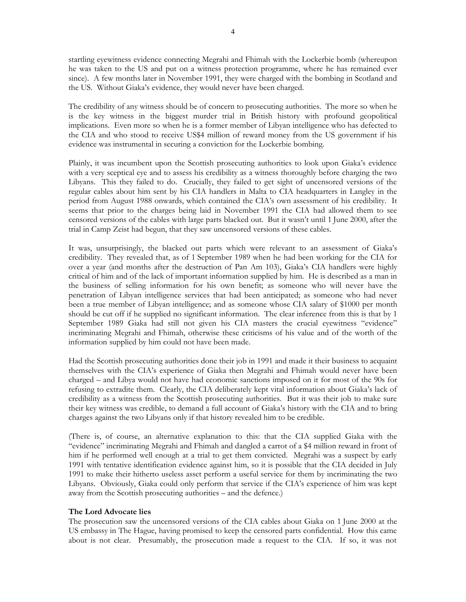startling eyewitness evidence connecting Megrahi and Fhimah with the Lockerbie bomb (whereupon he was taken to the US and put on a witness protection programme, where he has remained ever since). A few months later in November 1991, they were charged with the bombing in Scotland and the US. Without Giaka's evidence, they would never have been charged.

The credibility of any witness should be of concern to prosecuting authorities. The more so when he is the key witness in the biggest murder trial in British history with profound geopolitical implications. Even more so when he is a former member of Libyan intelligence who has defected to the CIA and who stood to receive US\$4 million of reward money from the US government if his evidence was instrumental in securing a conviction for the Lockerbie bombing.

Plainly, it was incumbent upon the Scottish prosecuting authorities to look upon Giaka's evidence with a very sceptical eye and to assess his credibility as a witness thoroughly before charging the two Libyans. This they failed to do. Crucially, they failed to get sight of uncensored versions of the regular cables about him sent by his CIA handlers in Malta to CIA headquarters in Langley in the period from August 1988 onwards, which contained the CIA's own assessment of his credibility. It seems that prior to the charges being laid in November 1991 the CIA had allowed them to see censored versions of the cables with large parts blacked out. But it wasn't until 1 June 2000, after the trial in Camp Zeist had begun, that they saw uncensored versions of these cables.

It was, unsurprisingly, the blacked out parts which were relevant to an assessment of Giaka's credibility. They revealed that, as of 1 September 1989 when he had been working for the CIA for over a year (and months after the destruction of Pan Am 103), Giaka's CIA handlers were highly critical of him and of the lack of important information supplied by him. He is described as a man in the business of selling information for his own benefit; as someone who will never have the penetration of Libyan intelligence services that had been anticipated; as someone who had never been a true member of Libyan intelligence; and as someone whose CIA salary of \$1000 per month should be cut off if he supplied no significant information. The clear inference from this is that by 1 September 1989 Giaka had still not given his CIA masters the crucial eyewitness "evidence" incriminating Megrahi and Fhimah, otherwise these criticisms of his value and of the worth of the information supplied by him could not have been made.

Had the Scottish prosecuting authorities done their job in 1991 and made it their business to acquaint themselves with the CIA's experience of Giaka then Megrahi and Fhimah would never have been charged – and Libya would not have had economic sanctions imposed on it for most of the 90s for refusing to extradite them. Clearly, the CIA deliberately kept vital information about Giaka's lack of credibility as a witness from the Scottish prosecuting authorities. But it was their job to make sure their key witness was credible, to demand a full account of Giaka's history with the CIA and to bring charges against the two Libyans only if that history revealed him to be credible.

(There is, of course, an alternative explanation to this: that the CIA supplied Giaka with the "evidence" incriminating Megrahi and Fhimah and dangled a carrot of a \$4 million reward in front of him if he performed well enough at a trial to get them convicted. Megrahi was a suspect by early 1991 with tentative identification evidence against him, so it is possible that the CIA decided in July 1991 to make their hitherto useless asset perform a useful service for them by incriminating the two Libyans. Obviously, Giaka could only perform that service if the CIA's experience of him was kept away from the Scottish prosecuting authorities – and the defence.)

# **The Lord Advocate lies**

The prosecution saw the uncensored versions of the CIA cables about Giaka on 1 June 2000 at the US embassy in The Hague, having promised to keep the censored parts confidential. How this came about is not clear. Presumably, the prosecution made a request to the CIA. If so, it was not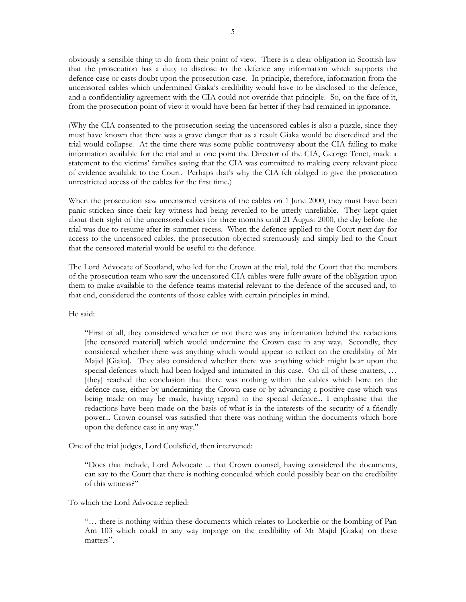obviously a sensible thing to do from their point of view. There is a clear obligation in Scottish law that the prosecution has a duty to disclose to the defence any information which supports the defence case or casts doubt upon the prosecution case. In principle, therefore, information from the uncensored cables which undermined Giaka's credibility would have to be disclosed to the defence, and a confidentiality agreement with the CIA could not override that principle. So, on the face of it, from the prosecution point of view it would have been far better if they had remained in ignorance.

(Why the CIA consented to the prosecution seeing the uncensored cables is also a puzzle, since they must have known that there was a grave danger that as a result Giaka would be discredited and the trial would collapse. At the time there was some public controversy about the CIA failing to make information available for the trial and at one point the Director of the CIA, George Tenet, made a statement to the victims' families saying that the CIA was committed to making every relevant piece of evidence available to the Court. Perhaps that's why the CIA felt obliged to give the prosecution unrestricted access of the cables for the first time.)

When the prosecution saw uncensored versions of the cables on 1 June 2000, they must have been panic stricken since their key witness had being revealed to be utterly unreliable. They kept quiet about their sight of the uncensored cables for three months until 21 August 2000, the day before the trial was due to resume after its summer recess. When the defence applied to the Court next day for access to the uncensored cables, the prosecution objected strenuously and simply lied to the Court that the censored material would be useful to the defence.

The Lord Advocate of Scotland, who led for the Crown at the trial, told the Court that the members of the prosecution team who saw the uncensored CIA cables were fully aware of the obligation upon them to make available to the defence teams material relevant to the defence of the accused and, to that end, considered the contents of those cables with certain principles in mind.

He said:

"First of all, they considered whether or not there was any information behind the redactions [the censored material] which would undermine the Crown case in any way. Secondly, they considered whether there was anything which would appear to reflect on the credibility of Mr Majid [Giaka]. They also considered whether there was anything which might bear upon the special defences which had been lodged and intimated in this case. On all of these matters, … [they] reached the conclusion that there was nothing within the cables which bore on the defence case, either by undermining the Crown case or by advancing a positive case which was being made on may be made, having regard to the special defence... I emphasise that the redactions have been made on the basis of what is in the interests of the security of a friendly power... Crown counsel was satisfied that there was nothing within the documents which bore upon the defence case in any way."

One of the trial judges, Lord Coulsfield, then intervened:

"Does that include, Lord Advocate ... that Crown counsel, having considered the documents, can say to the Court that there is nothing concealed which could possibly bear on the credibility of this witness?"

To which the Lord Advocate replied:

"… there is nothing within these documents which relates to Lockerbie or the bombing of Pan Am 103 which could in any way impinge on the credibility of Mr Majid [Giaka] on these matters".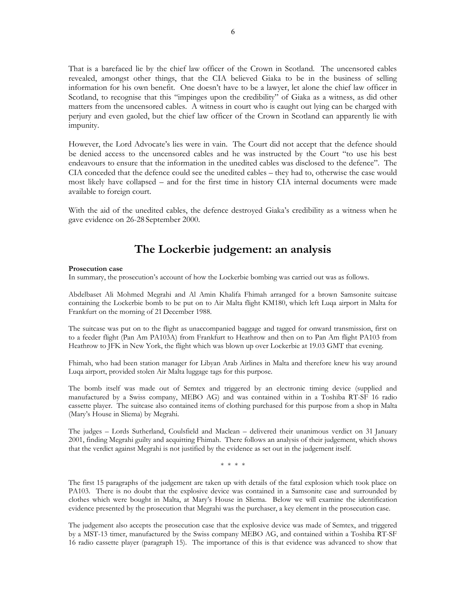That is a barefaced lie by the chief law officer of the Crown in Scotland. The uncensored cables revealed, amongst other things, that the CIA believed Giaka to be in the business of selling information for his own benefit. One doesn't have to be a lawyer, let alone the chief law officer in Scotland, to recognise that this "impinges upon the credibility" of Giaka as a witness, as did other matters from the uncensored cables. A witness in court who is caught out lying can be charged with perjury and even gaoled, but the chief law officer of the Crown in Scotland can apparently lie with impunity.

However, the Lord Advocate's lies were in vain. The Court did not accept that the defence should be denied access to the uncensored cables and he was instructed by the Court "to use his best endeavours to ensure that the information in the unedited cables was disclosed to the defence". The CIA conceded that the defence could see the unedited cables – they had to, otherwise the case would most likely have collapsed – and for the first time in history CIA internal documents were made available to foreign court.

With the aid of the unedited cables, the defence destroyed Giaka's credibility as a witness when he gave evidence on 26-28 September 2000.

# **The Lockerbie judgement: an analysis**

#### **Prosecution case**

In summary, the prosecution's account of how the Lockerbie bombing was carried out was as follows.

Abdelbaset Ali Mohmed Megrahi and Al Amin Khalifa Fhimah arranged for a brown Samsonite suitcase containing the Lockerbie bomb to be put on to Air Malta flight KM180, which left Luqa airport in Malta for Frankfurt on the morning of 21 December 1988.

The suitcase was put on to the flight as unaccompanied baggage and tagged for onward transmission, first on to a feeder flight (Pan Am PA103A) from Frankfurt to Heathrow and then on to Pan Am flight PA103 from Heathrow to JFK in New York, the flight which was blown up over Lockerbie at 19.03 GMT that evening.

Fhimah, who had been station manager for Libyan Arab Airlines in Malta and therefore knew his way around Luqa airport, provided stolen Air Malta luggage tags for this purpose.

The bomb itself was made out of Semtex and triggered by an electronic timing device (supplied and manufactured by a Swiss company, MEBO AG) and was contained within in a Toshiba RT-SF 16 radio cassette player. The suitcase also contained items of clothing purchased for this purpose from a shop in Malta (Mary's House in Sliema) by Megrahi.

The judges – Lords Sutherland, Coulsfield and Maclean – delivered their unanimous verdict on 31 January 2001, finding Megrahi guilty and acquitting Fhimah. There follows an analysis of their judgement, which shows that the verdict against Megrahi is not justified by the evidence as set out in the judgement itself.

\* \* \* \*

The first 15 paragraphs of the judgement are taken up with details of the fatal explosion which took place on PA103. There is no doubt that the explosive device was contained in a Samsonite case and surrounded by clothes which were bought in Malta, at Mary's House in Sliema. Below we will examine the identification evidence presented by the prosecution that Megrahi was the purchaser, a key element in the prosecution case.

The judgement also accepts the prosecution case that the explosive device was made of Semtex, and triggered by a MST-13 timer, manufactured by the Swiss company MEBO AG, and contained within a Toshiba RT-SF 16 radio cassette player (paragraph 15). The importance of this is that evidence was advanced to show that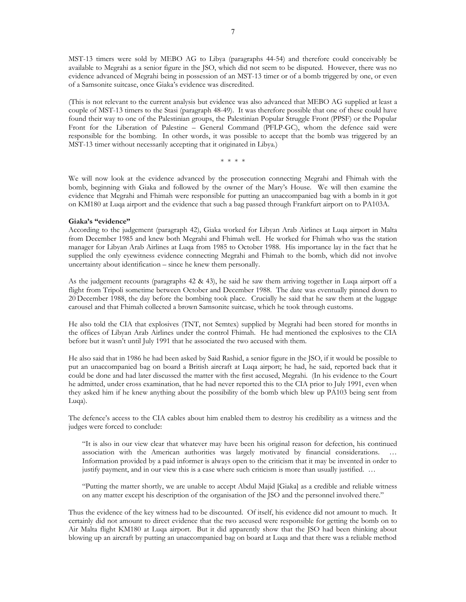MST-13 timers were sold by MEBO AG to Libya (paragraphs 44-54) and therefore could conceivably be available to Megrahi as a senior figure in the JSO, which did not seem to be disputed. However, there was no evidence advanced of Megrahi being in possession of an MST-13 timer or of a bomb triggered by one, or even of a Samsonite suitcase, once Giaka's evidence was discredited.

(This is not relevant to the current analysis but evidence was also advanced that MEBO AG supplied at least a couple of MST-13 timers to the Stasi (paragraph 48-49). It was therefore possible that one of these could have found their way to one of the Palestinian groups, the Palestinian Popular Struggle Front (PPSF) or the Popular Front for the Liberation of Palestine – General Command (PFLP-GC), whom the defence said were responsible for the bombing. In other words, it was possible to accept that the bomb was triggered by an MST-13 timer without necessarily accepting that it originated in Libya.)

\* \* \* \*

We will now look at the evidence advanced by the prosecution connecting Megrahi and Fhimah with the bomb, beginning with Giaka and followed by the owner of the Mary's House. We will then examine the evidence that Megrahi and Fhimah were responsible for putting an unaccompanied bag with a bomb in it got on KM180 at Luqa airport and the evidence that such a bag passed through Frankfurt airport on to PA103A.

#### **Giaka's "evidence"**

According to the judgement (paragraph 42), Giaka worked for Libyan Arab Airlines at Luqa airport in Malta from December 1985 and knew both Megrahi and Fhimah well. He worked for Fhimah who was the station manager for Libyan Arab Airlines at Luqa from 1985 to October 1988. His importance lay in the fact that he supplied the only eyewitness evidence connecting Megrahi and Fhimah to the bomb, which did not involve uncertainty about identification – since he knew them personally.

As the judgement recounts (paragraphs 42 & 43), he said he saw them arriving together in Luqa airport off a flight from Tripoli sometime between October and December 1988. The date was eventually pinned down to 20 December 1988, the day before the bombing took place. Crucially he said that he saw them at the luggage carousel and that Fhimah collected a brown Samsonite suitcase, which he took through customs.

He also told the CIA that explosives (TNT, not Semtex) supplied by Megrahi had been stored for months in the offices of Libyan Arab Airlines under the control Fhimah. He had mentioned the explosives to the CIA before but it wasn't until July 1991 that he associated the two accused with them.

He also said that in 1986 he had been asked by Said Rashid, a senior figure in the JSO, if it would be possible to put an unaccompanied bag on board a British aircraft at Luqa airport; he had, he said, reported back that it could be done and had later discussed the matter with the first accused, Megrahi. (In his evidence to the Court he admitted, under cross examination, that he had never reported this to the CIA prior to July 1991, even when they asked him if he knew anything about the possibility of the bomb which blew up PA103 being sent from Luqa).

The defence's access to the CIA cables about him enabled them to destroy his credibility as a witness and the judges were forced to conclude:

"It is also in our view clear that whatever may have been his original reason for defection, his continued association with the American authorities was largely motivated by financial considerations. … Information provided by a paid informer is always open to the criticism that it may be invented in order to justify payment, and in our view this is a case where such criticism is more than usually justified. …

"Putting the matter shortly, we are unable to accept Abdul Majid [Giaka] as a credible and reliable witness on any matter except his description of the organisation of the JSO and the personnel involved there."

Thus the evidence of the key witness had to be discounted. Of itself, his evidence did not amount to much. It certainly did not amount to direct evidence that the two accused were responsible for getting the bomb on to Air Malta flight KM180 at Luqa airport. But it did apparently show that the JSO had been thinking about blowing up an aircraft by putting an unaccompanied bag on board at Luqa and that there was a reliable method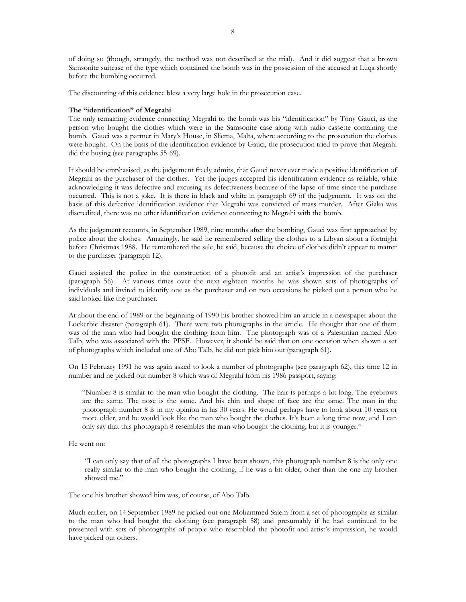of doing so (though, strangely, the method was not described at the trial). And it did suggest that a brown Samsonite suitcase of the type which contained the bomb was in the possession of the accused at Luqa shortly before the bombing occurred.

The discounting of this evidence blew a very large hole in the prosecution case.

#### **The "identification" of Megrahi**

The only remaining evidence connecting Megrahi to the bomb was his "identification" by Tony Gauci, as the person who bought the clothes which were in the Samsonite case along with radio cassette containing the bomb. Gauci was a partner in Mary's House, in Sliema, Malta, where according to the prosecution the clothes were bought. On the basis of the identification evidence by Gauci, the prosecution tried to prove that Megrahi did the buying (see paragraphs 55-69).

It should be emphasised, as the judgement freely admits, that Gauci never ever made a positive identification of Megrahi as the purchaser of the clothes. Yet the judges accepted his identification evidence as reliable, while acknowledging it was defective and excusing its defectiveness because of the lapse of time since the purchase occurred. This is not a joke. It is there in black and white in paragraph 69 of the judgement. It was on the basis of this defective identification evidence that Megrahi was convicted of mass murder. After Giaka was discredited, there was no other identification evidence connecting to Megrahi with the bomb.

As the judgement recounts, in September 1989, nine months after the bombing, Gauci was first approached by police about the clothes. Amazingly, he said he remembered selling the clothes to a Libyan about a fortnight before Christmas 1988. He remembered the sale, he said, because the choice of clothes didn't appear to matter to the purchaser (paragraph 12).

Gauci assisted the police in the construction of a photofit and an artist's impression of the purchaser (paragraph 56). At various times over the next eighteen months he was shown sets of photographs of individuals and invited to identify one as the purchaser and on two occasions he picked out a person who he said looked like the purchaser.

At about the end of 1989 or the beginning of 1990 his brother showed him an article in a newspaper about the Lockerbie disaster (paragraph 61). There were two photographs in the article. He thought that one of them was of the man who had bought the clothing from him. The photograph was of a Palestinian named Abo Talb, who was associated with the PPSF. However, it should be said that on one occasion when shown a set of photographs which included one of Abo Talb, he did not pick him out (paragraph 61).

On 15 February 1991 he was again asked to look a number of photographs (see paragraph 62), this time 12 in number and he picked out number 8 which was of Megrahi from his 1986 passport, saying:

"Number 8 is similar to the man who bought the clothing. The hair is perhaps a bit long. The eyebrows are the same. The nose is the same. And his chin and shape of face are the same. The man in the photograph number 8 is in my opinion in his 30 years. He would perhaps have to look about 10 years or more older, and he would look like the man who bought the clothes. It's been a long time now, and I can only say that this photograph 8 resembles the man who bought the clothing, but it is younger."

He went on:

"I can only say that of all the photographs I have been shown, this photograph number 8 is the only one really similar to the man who bought the clothing, if he was a bit older, other than the one my brother showed me."

The one his brother showed him was, of course, of Abo Talb.

Much earlier, on 14 September 1989 he picked out one Mohammed Salem from a set of photographs as similar to the man who had bought the clothing (see paragraph 58) and presumably if he had continued to be presented with sets of photographs of people who resembled the photofit and artist's impression, he would have picked out others.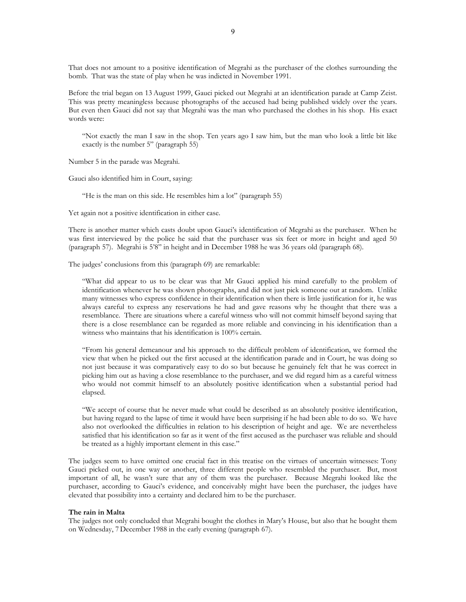That does not amount to a positive identification of Megrahi as the purchaser of the clothes surrounding the bomb. That was the state of play when he was indicted in November 1991.

Before the trial began on 13 August 1999, Gauci picked out Megrahi at an identification parade at Camp Zeist. This was pretty meaningless because photographs of the accused had being published widely over the years. But even then Gauci did not say that Megrahi was the man who purchased the clothes in his shop. His exact words were:

"Not exactly the man I saw in the shop. Ten years ago I saw him, but the man who look a little bit like exactly is the number 5" (paragraph 55)

Number 5 in the parade was Megrahi.

Gauci also identified him in Court, saying:

"He is the man on this side. He resembles him a lot" (paragraph 55)

Yet again not a positive identification in either case.

There is another matter which casts doubt upon Gauci's identification of Megrahi as the purchaser. When he was first interviewed by the police he said that the purchaser was six feet or more in height and aged 50 (paragraph 57). Megrahi is 5'8" in height and in December 1988 he was 36 years old (paragraph 68).

The judges' conclusions from this (paragraph 69) are remarkable:

"What did appear to us to be clear was that Mr Gauci applied his mind carefully to the problem of identification whenever he was shown photographs, and did not just pick someone out at random. Unlike many witnesses who express confidence in their identification when there is little justification for it, he was always careful to express any reservations he had and gave reasons why he thought that there was a resemblance. There are situations where a careful witness who will not commit himself beyond saying that there is a close resemblance can be regarded as more reliable and convincing in his identification than a witness who maintains that his identification is 100% certain.

"From his general demeanour and his approach to the difficult problem of identification, we formed the view that when he picked out the first accused at the identification parade and in Court, he was doing so not just because it was comparatively easy to do so but because he genuinely felt that he was correct in picking him out as having a close resemblance to the purchaser, and we did regard him as a careful witness who would not commit himself to an absolutely positive identification when a substantial period had elapsed.

"We accept of course that he never made what could be described as an absolutely positive identification, but having regard to the lapse of time it would have been surprising if he had been able to do so. We have also not overlooked the difficulties in relation to his description of height and age. We are nevertheless satisfied that his identification so far as it went of the first accused as the purchaser was reliable and should be treated as a highly important element in this case."

The judges seem to have omitted one crucial fact in this treatise on the virtues of uncertain witnesses: Tony Gauci picked out, in one way or another, three different people who resembled the purchaser. But, most important of all, he wasn't sure that any of them was the purchaser. Because Megrahi looked like the purchaser, according to Gauci's evidence, and conceivably might have been the purchaser, the judges have elevated that possibility into a certainty and declared him to be the purchaser.

#### **The rain in Malta**

The judges not only concluded that Megrahi bought the clothes in Mary's House, but also that he bought them on Wednesday, 7December 1988 in the early evening (paragraph 67).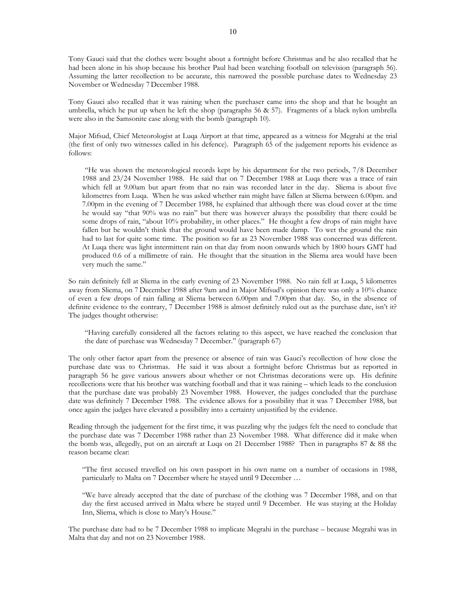Tony Gauci said that the clothes were bought about a fortnight before Christmas and he also recalled that he had been alone in his shop because his brother Paul had been watching football on television (paragraph 56). Assuming the latter recollection to be accurate, this narrowed the possible purchase dates to Wednesday 23 November or Wednesday 7December 1988.

Tony Gauci also recalled that it was raining when the purchaser came into the shop and that he bought an umbrella, which he put up when he left the shop (paragraphs 56 & 57). Fragments of a black nylon umbrella were also in the Samsonite case along with the bomb (paragraph 10).

Major Mifsud, Chief Meteorologist at Luqa Airport at that time, appeared as a witness for Megrahi at the trial (the first of only two witnesses called in his defence). Paragraph 65 of the judgement reports his evidence as follows:

"He was shown the meteorological records kept by his department for the two periods, 7/8 December 1988 and 23/24 November 1988. He said that on 7 December 1988 at Luqa there was a trace of rain which fell at 9.00am but apart from that no rain was recorded later in the day. Sliema is about five kilometres from Luqa. When he was asked whether rain might have fallen at Sliema between 6.00pm. and 7.00pm in the evening of 7 December 1988, he explained that although there was cloud cover at the time he would say "that 90% was no rain" but there was however always the possibility that there could be some drops of rain, "about 10% probability, in other places." He thought a few drops of rain might have fallen but he wouldn't think that the ground would have been made damp. To wet the ground the rain had to last for quite some time. The position so far as 23 November 1988 was concerned was different. At Luqa there was light intermittent rain on that day from noon onwards which by 1800 hours GMT had produced 0.6 of a millimetre of rain. He thought that the situation in the Sliema area would have been very much the same."

So rain definitely fell at Sliema in the early evening of 23 November 1988. No rain fell at Luqa, 5 kilometres away from Sliema, on 7 December 1988 after 9am and in Major Mifsud's opinion there was only a 10% chance of even a few drops of rain falling at Sliema between 6.00pm and 7.00pm that day. So, in the absence of definite evidence to the contrary, 7 December 1988 is almost definitely ruled out as the purchase date, isn't it? The judges thought otherwise:

"Having carefully considered all the factors relating to this aspect, we have reached the conclusion that the date of purchase was Wednesday 7 December." (paragraph 67)

The only other factor apart from the presence or absence of rain was Gauci's recollection of how close the purchase date was to Christmas. He said it was about a fortnight before Christmas but as reported in paragraph 56 he gave various answers about whether or not Christmas decorations were up. His definite recollections were that his brother was watching football and that it was raining – which leads to the conclusion that the purchase date was probably 23 November 1988. However, the judges concluded that the purchase date was definitely 7 December 1988. The evidence allows for a possibility that it was 7 December 1988, but once again the judges have elevated a possibility into a certainty unjustified by the evidence.

Reading through the judgement for the first time, it was puzzling why the judges felt the need to conclude that the purchase date was 7 December 1988 rather than 23 November 1988. What difference did it make when the bomb was, allegedly, put on an aircraft at Luqa on 21 December 1988? Then in paragraphs 87 & 88 the reason became clear:

"The first accused travelled on his own passport in his own name on a number of occasions in 1988, particularly to Malta on 7 December where he stayed until 9 December …

"We have already accepted that the date of purchase of the clothing was 7 December 1988, and on that day the first accused arrived in Malta where he stayed until 9 December. He was staying at the Holiday Inn, Sliema, which is close to Mary's House."

The purchase date had to be 7 December 1988 to implicate Megrahi in the purchase – because Megrahi was in Malta that day and not on 23 November 1988.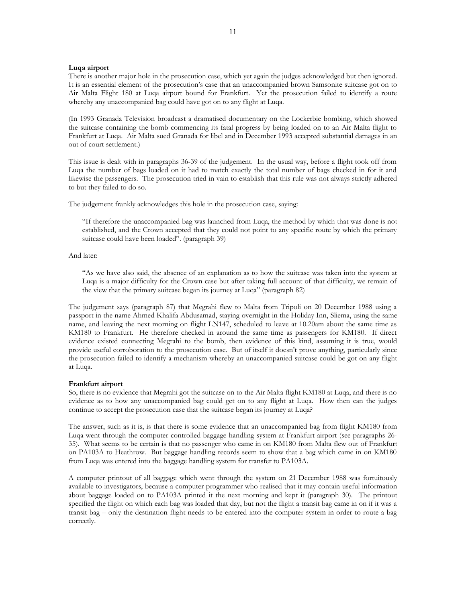#### **Luqa airport**

There is another major hole in the prosecution case, which yet again the judges acknowledged but then ignored. It is an essential element of the prosecution's case that an unaccompanied brown Samsonite suitcase got on to Air Malta Flight 180 at Luqa airport bound for Frankfurt. Yet the prosecution failed to identify a route whereby any unaccompanied bag could have got on to any flight at Luqa.

(In 1993 Granada Television broadcast a dramatised documentary on the Lockerbie bombing, which showed the suitcase containing the bomb commencing its fatal progress by being loaded on to an Air Malta flight to Frankfurt at Luqa. Air Malta sued Granada for libel and in December 1993 accepted substantial damages in an out of court settlement.)

This issue is dealt with in paragraphs 36-39 of the judgement. In the usual way, before a flight took off from Luqa the number of bags loaded on it had to match exactly the total number of bags checked in for it and likewise the passengers. The prosecution tried in vain to establish that this rule was not always strictly adhered to but they failed to do so.

The judgement frankly acknowledges this hole in the prosecution case, saying:

"If therefore the unaccompanied bag was launched from Luqa, the method by which that was done is not established, and the Crown accepted that they could not point to any specific route by which the primary suitcase could have been loaded". (paragraph 39)

#### And later:

"As we have also said, the absence of an explanation as to how the suitcase was taken into the system at Luqa is a major difficulty for the Crown case but after taking full account of that difficulty, we remain of the view that the primary suitcase began its journey at Luqa" (paragraph 82)

The judgement says (paragraph 87) that Megrahi flew to Malta from Tripoli on 20 December 1988 using a passport in the name Ahmed Khalifa Abdusamad, staying overnight in the Holiday Inn, Sliema, using the same name, and leaving the next morning on flight LN147, scheduled to leave at 10.20am about the same time as KM180 to Frankfurt. He therefore checked in around the same time as passengers for KM180. If direct evidence existed connecting Megrahi to the bomb, then evidence of this kind, assuming it is true, would provide useful corroboration to the prosecution case. But of itself it doesn't prove anything, particularly since the prosecution failed to identify a mechanism whereby an unaccompanied suitcase could be got on any flight at Luqa.

#### **Frankfurt airport**

So, there is no evidence that Megrahi got the suitcase on to the Air Malta flight KM180 at Luqa, and there is no evidence as to how any unaccompanied bag could get on to any flight at Luqa. How then can the judges continue to accept the prosecution case that the suitcase began its journey at Luqa?

The answer, such as it is, is that there is some evidence that an unaccompanied bag from flight KM180 from Luqa went through the computer controlled baggage handling system at Frankfurt airport (see paragraphs 26- 35). What seems to be certain is that no passenger who came in on KM180 from Malta flew out of Frankfurt on PA103A to Heathrow. But baggage handling records seem to show that a bag which came in on KM180 from Luqa was entered into the baggage handling system for transfer to PA103A.

A computer printout of all baggage which went through the system on 21 December 1988 was fortuitously available to investigators, because a computer programmer who realised that it may contain useful information about baggage loaded on to PA103A printed it the next morning and kept it (paragraph 30). The printout specified the flight on which each bag was loaded that day, but not the flight a transit bag came in on if it was a transit bag – only the destination flight needs to be entered into the computer system in order to route a bag correctly.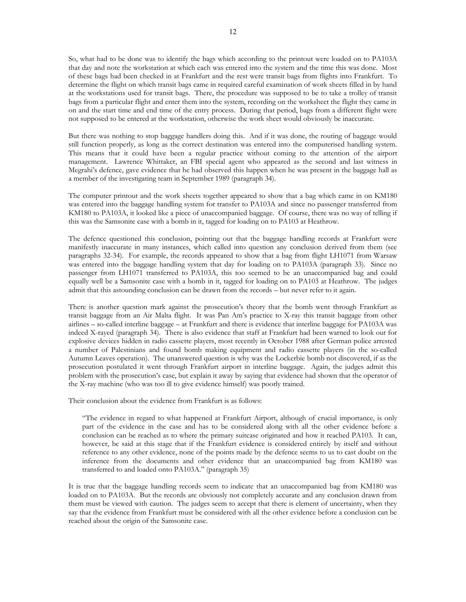So, what had to be done was to identify the bags which according to the printout were loaded on to PA103A that day and note the workstation at which each was entered into the system and the time this was done. Most of these bags had been checked in at Frankfurt and the rest were transit bags from flights into Frankfurt. To determine the flight on which transit bags came in required careful examination of work sheets filled in by hand at the workstations used for transit bags. There, the procedure was supposed to be to take a trolley of transit bags from a particular flight and enter them into the system, recording on the worksheet the flight they came in on and the start time and end time of the entry process. During that period, bags from a different flight were not supposed to be entered at the workstation, otherwise the work sheet would obviously be inaccurate.

But there was nothing to stop baggage handlers doing this. And if it was done, the routing of baggage would still function properly, as long as the correct destination was entered into the computerised handling system. This means that it could have been a regular practice without coming to the attention of the airport management. Lawrence Whittaker, an FBI special agent who appeared as the second and last witness in Megrahi's defence, gave evidence that he had observed this happen when he was present in the baggage hall as a member of the investigating team in September 1989 (paragraph 34).

The computer printout and the work sheets together appeared to show that a bag which came in on KM180 was entered into the baggage handling system for transfer to PA103A and since no passenger transferred from KM180 to PA103A, it looked like a piece of unaccompanied baggage. Of course, there was no way of telling if this was the Samsonite case with a bomb in it, tagged for loading on to PA103 at Heathrow.

The defence questioned this conclusion, pointing out that the baggage handling records at Frankfurt were manifestly inaccurate in many instances, which called into question any conclusion derived from them (see paragraphs 32-34). For example, the records appeared to show that a bag from flight LH1071 from Warsaw was entered into the baggage handling system that day for loading on to PA103A (paragraph 33). Since no passenger from LH1071 transferred to PA103A, this too seemed to be an unaccompanied bag and could equally well be a Samsonite case with a bomb in it, tagged for loading on to PA103 at Heathrow. The judges admit that this astounding conclusion can be drawn from the records – but never refer to it again.

There is another question mark against the prosecution's theory that the bomb went through Frankfurt as transit baggage from an Air Malta flight. It was Pan Am's practice to X-ray this transit baggage from other airlines – so-called interline baggage – at Frankfurt and there is evidence that interline baggage for PA103A was indeed X-rayed (paragraph 34). There is also evidence that staff at Frankfurt had been warned to look out for explosive devices hidden in radio cassette players, most recently in October 1988 after German police arrested a number of Palestinians and found bomb making equipment and radio cassette players (in the so-called Autumn Leaves operation). The unanswered question is why was the Lockerbie bomb not discovered, if as the prosecution postulated it went through Frankfurt airport in interline baggage. Again, the judges admit this problem with the prosecution's case, but explain it away by saying that evidence had shown that the operator of the X-ray machine (who was too ill to give evidence himself) was poorly trained.

Their conclusion about the evidence from Frankfurt is as follows:

"The evidence in regard to what happened at Frankfurt Airport, although of crucial importance, is only part of the evidence in the case and has to be considered along with all the other evidence before a conclusion can be reached as to where the primary suitcase originated and how it reached PA103. It can, however, be said at this stage that if the Frankfurt evidence is considered entirely by itself and without reference to any other evidence, none of the points made by the defence seems to us to cast doubt on the inference from the documents and other evidence that an unaccompanied bag from KM180 was transferred to and loaded onto PA103A." (paragraph 35)

It is true that the baggage handling records seem to indicate that an unaccompanied bag from KM180 was loaded on to PA103A. But the records are obviously not completely accurate and any conclusion drawn from them must be viewed with caution. The judges seem to accept that there is element of uncertainty, when they say that the evidence from Frankfurt must be considered with all the other evidence before a conclusion can be reached about the origin of the Samsonite case.